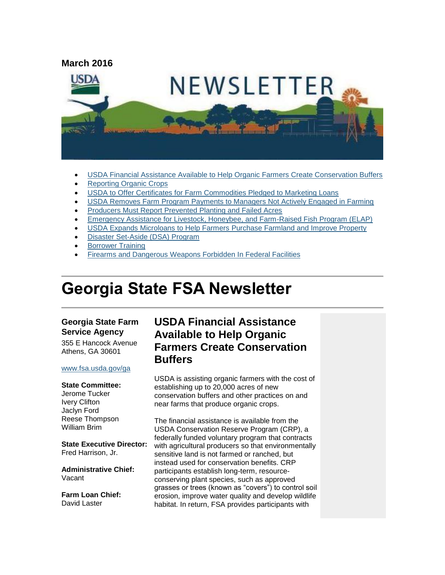

- [USDA Financial Assistance Available to Help Organic Farmers Create Conservation Buffers](#page-0-0)
- [Reporting Organic Crops](#page-2-0)
- [USDA to Offer Certificates for Farm Commodities Pledged to Marketing Loans](#page-2-1)
- [USDA Removes Farm Program Payments to Managers Not Actively Engaged in Farming](#page-3-0)
- [Producers Must Report Prevented Planting and Failed Acres](#page-3-1)
- [Emergency Assistance for Livestock, Honeybee, and Farm-Raised Fish Program \(ELAP\)](#page-4-0)
- [USDA Expands Microloans to Help Farmers Purchase Farmland and Improve Property](#page-4-1)
- [Disaster Set-Aside \(DSA\) Program](#page-5-0)
- [Borrower Training](#page-6-0)
- [Firearms and Dangerous Weapons Forbidden In Federal Facilities](#page-6-1)

# **Georgia State FSA Newsletter**

#### **Georgia State Farm Service Agency**

355 E Hancock Avenue Athens, GA 30601

#### [www.fsa.usda.gov/ga](http://www.fsa.usda.gov/ga)

#### **State Committee:**

Jerome Tucker Ivery Clifton Jaclyn Ford Reese Thompson William Brim

**State Executive Director:** Fred Harrison, Jr.

**Administrative Chief:** Vacant

**Farm Loan Chief:** David Laster

### <span id="page-0-0"></span>**USDA Financial Assistance Available to Help Organic Farmers Create Conservation Buffers**

USDA is assisting organic farmers with the cost of establishing up to 20,000 acres of new conservation buffers and other practices on and near farms that produce organic crops.

The financial assistance is available from the USDA Conservation Reserve Program (CRP), a federally funded voluntary program that contracts with agricultural producers so that environmentally sensitive land is not farmed or ranched, but instead used for conservation benefits. CRP participants establish long-term, resourceconserving plant species, such as approved grasses or trees (known as "covers") to control soil erosion, improve water quality and develop wildlife habitat. In return, FSA provides participants with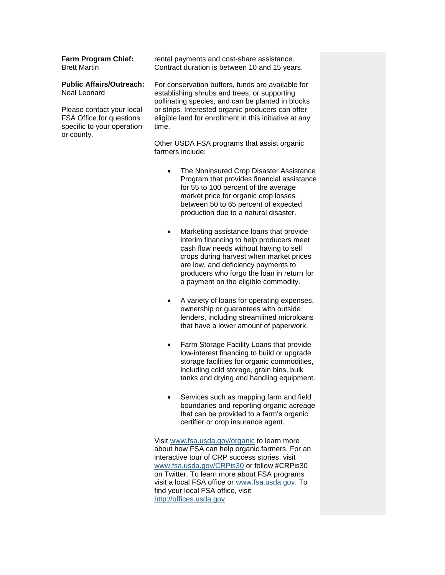#### **Farm Program Chief:** Brett Martin

#### **Public Affairs/Outreach:** Neal Leonard

Please contact your local FSA Office for questions specific to your operation or county.

rental payments and cost-share assistance. Contract duration is between 10 and 15 years.

For conservation buffers, funds are available for establishing shrubs and trees, or supporting pollinating species, and can be planted in blocks or strips. Interested organic producers can offer eligible land for enrollment in this initiative at any time.

Other USDA FSA programs that assist organic farmers include:

- The Noninsured Crop Disaster Assistance Program that provides financial assistance for 55 to 100 percent of the average market price for organic crop losses between 50 to 65 percent of expected production due to a natural disaster.
- Marketing assistance loans that provide interim financing to help producers meet cash flow needs without having to sell crops during harvest when market prices are low, and deficiency payments to producers who forgo the loan in return for a payment on the eligible commodity.
- A variety of loans for operating expenses, ownership or guarantees with outside lenders, including streamlined microloans that have a lower amount of paperwork.
- Farm Storage Facility Loans that provide low-interest financing to build or upgrade storage facilities for organic commodities, including cold storage, grain bins, bulk tanks and drying and handling equipment.
- Services such as mapping farm and field boundaries and reporting organic acreage that can be provided to a farm's organic certifier or crop insurance agent.

Visit [www.fsa.usda.gov/organic](http://www.fsa.usda.gov/organic) to learn more about how FSA can help organic farmers. For an interactive tour of CRP success stories, visit [www.fsa.usda.gov/CRPis30](http://www.fsa.usda.gov/CRPis30) or follow #CRPis30 on Twitter. To learn more about FSA programs visit a local FSA office or [www.fsa.usda.gov.](http://www.fsa.usda.gov/) To find your local FSA office, visit [http://offices.usda.gov.](http://offices.usda.gov/)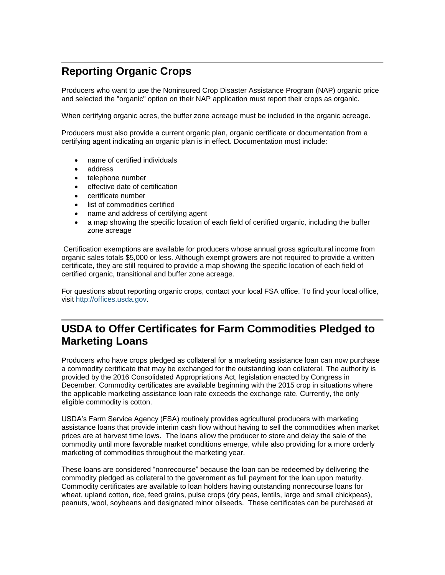# <span id="page-2-0"></span>**Reporting Organic Crops**

Producers who want to use the Noninsured Crop Disaster Assistance Program (NAP) organic price and selected the "organic" option on their NAP application must report their crops as organic.

When certifying organic acres, the buffer zone acreage must be included in the organic acreage.

Producers must also provide a current organic plan, organic certificate or documentation from a certifying agent indicating an organic plan is in effect. Documentation must include:

- name of certified individuals
- address
- telephone number
- effective date of certification
- certificate number
- list of commodities certified
- name and address of certifying agent
- a map showing the specific location of each field of certified organic, including the buffer zone acreage

Certification exemptions are available for producers whose annual gross agricultural income from organic sales totals \$5,000 or less. Although exempt growers are not required to provide a written certificate, they are still required to provide a map showing the specific location of each field of certified organic, transitional and buffer zone acreage.

For questions about reporting organic crops, contact your local FSA office. To find your local office, visit [http://offices.usda.gov.](http://offices.usda.gov/)

# <span id="page-2-1"></span>**USDA to Offer Certificates for Farm Commodities Pledged to Marketing Loans**

Producers who have crops pledged as collateral for a marketing assistance loan can now purchase a commodity certificate that may be exchanged for the outstanding loan collateral. The authority is provided by the 2016 Consolidated Appropriations Act, legislation enacted by Congress in December. Commodity certificates are available beginning with the 2015 crop in situations where the applicable marketing assistance loan rate exceeds the exchange rate. Currently, the only eligible commodity is cotton.

USDA's Farm Service Agency (FSA) routinely provides agricultural producers with marketing assistance loans that provide interim cash flow without having to sell the commodities when market prices are at harvest time lows. The loans allow the producer to store and delay the sale of the commodity until more favorable market conditions emerge, while also providing for a more orderly marketing of commodities throughout the marketing year.

These loans are considered "nonrecourse" because the loan can be redeemed by delivering the commodity pledged as collateral to the government as full payment for the loan upon maturity. Commodity certificates are available to loan holders having outstanding nonrecourse loans for wheat, upland cotton, rice, feed grains, pulse crops (dry peas, lentils, large and small chickpeas), peanuts, wool, soybeans and designated minor oilseeds. These certificates can be purchased at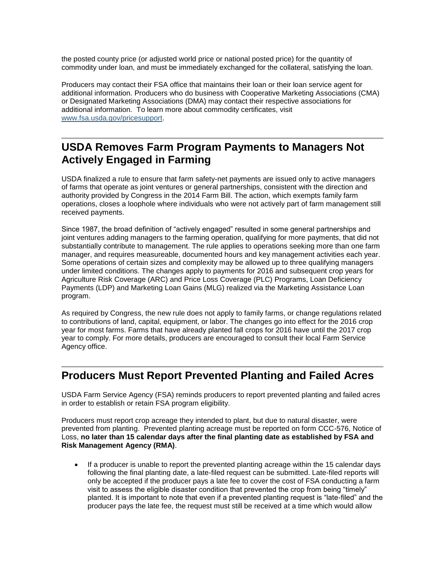the posted county price (or adjusted world price or national posted price) for the quantity of commodity under loan, and must be immediately exchanged for the collateral, satisfying the loan.

Producers may contact their FSA office that maintains their loan or their loan service agent for additional information. Producers who do business with Cooperative Marketing Associations (CMA) or Designated Marketing Associations (DMA) may contact their respective associations for additional information. To learn more about commodity certificates, visit [www.fsa.usda.gov/pricesupport.](http://www.fsa.usda.gov/pricesupport)

### <span id="page-3-0"></span>**USDA Removes Farm Program Payments to Managers Not Actively Engaged in Farming**

USDA finalized a rule to ensure that farm safety-net payments are issued only to active managers of farms that operate as joint ventures or general partnerships, consistent with the direction and authority provided by Congress in the 2014 Farm Bill. The action, which exempts family farm operations, closes a loophole where individuals who were not actively part of farm management still received payments.

Since 1987, the broad definition of "actively engaged" resulted in some general partnerships and joint ventures adding managers to the farming operation, qualifying for more payments, that did not substantially contribute to management. The rule applies to operations seeking more than one farm manager, and requires measureable, documented hours and key management activities each year. Some operations of certain sizes and complexity may be allowed up to three qualifying managers under limited conditions. The changes apply to payments for 2016 and subsequent crop years for Agriculture Risk Coverage (ARC) and Price Loss Coverage (PLC) Programs, Loan Deficiency Payments (LDP) and Marketing Loan Gains (MLG) realized via the Marketing Assistance Loan program.

As required by Congress, the new rule does not apply to family farms, or change regulations related to contributions of land, capital, equipment, or labor. The changes go into effect for the 2016 crop year for most farms. Farms that have already planted fall crops for 2016 have until the 2017 crop year to comply. For more details, producers are encouraged to consult their local Farm Service Agency office.

### <span id="page-3-1"></span>**Producers Must Report Prevented Planting and Failed Acres**

USDA Farm Service Agency (FSA) reminds producers to report prevented planting and failed acres in order to establish or retain FSA program eligibility.

Producers must report crop acreage they intended to plant, but due to natural disaster, were prevented from planting. Prevented planting acreage must be reported on form CCC-576, Notice of Loss, **no later than 15 calendar days after the final planting date as established by FSA and Risk Management Agency (RMA)**.

• If a producer is unable to report the prevented planting acreage within the 15 calendar days following the final planting date, a late-filed request can be submitted. Late-filed reports will only be accepted if the producer pays a late fee to cover the cost of FSA conducting a farm visit to assess the eligible disaster condition that prevented the crop from being "timely" planted. It is important to note that even if a prevented planting request is "late-filed" and the producer pays the late fee, the request must still be received at a time which would allow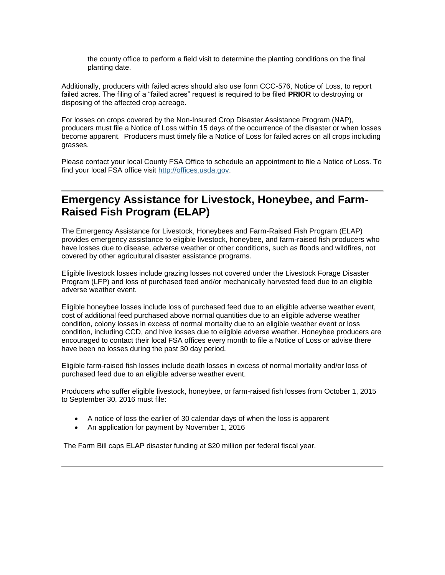the county office to perform a field visit to determine the planting conditions on the final planting date.

Additionally, producers with failed acres should also use form CCC-576, Notice of Loss, to report failed acres. The filing of a "failed acres" request is required to be filed **PRIOR** to destroying or disposing of the affected crop acreage.

For losses on crops covered by the Non-Insured Crop Disaster Assistance Program (NAP), producers must file a Notice of Loss within 15 days of the occurrence of the disaster or when losses become apparent. Producers must timely file a Notice of Loss for failed acres on all crops including grasses.

Please contact your local County FSA Office to schedule an appointment to file a Notice of Loss. To find your local FSA office visit [http://offices.usda.gov.](http://offices.usda.gov/)

### <span id="page-4-0"></span>**Emergency Assistance for Livestock, Honeybee, and Farm-Raised Fish Program (ELAP)**

The Emergency Assistance for Livestock, Honeybees and Farm-Raised Fish Program (ELAP) provides emergency assistance to eligible livestock, honeybee, and farm-raised fish producers who have losses due to disease, adverse weather or other conditions, such as floods and wildfires, not covered by other agricultural disaster assistance programs.

Eligible livestock losses include grazing losses not covered under the Livestock Forage Disaster Program (LFP) and loss of purchased feed and/or mechanically harvested feed due to an eligible adverse weather event.

Eligible honeybee losses include loss of purchased feed due to an eligible adverse weather event, cost of additional feed purchased above normal quantities due to an eligible adverse weather condition, colony losses in excess of normal mortality due to an eligible weather event or loss condition, including CCD, and hive losses due to eligible adverse weather. Honeybee producers are encouraged to contact their local FSA offices every month to file a Notice of Loss or advise there have been no losses during the past 30 day period.

Eligible farm-raised fish losses include death losses in excess of normal mortality and/or loss of purchased feed due to an eligible adverse weather event.

Producers who suffer eligible livestock, honeybee, or farm-raised fish losses from October 1, 2015 to September 30, 2016 must file:

- A notice of loss the earlier of 30 calendar days of when the loss is apparent
- An application for payment by November 1, 2016

<span id="page-4-1"></span>The Farm Bill caps ELAP disaster funding at \$20 million per federal fiscal year.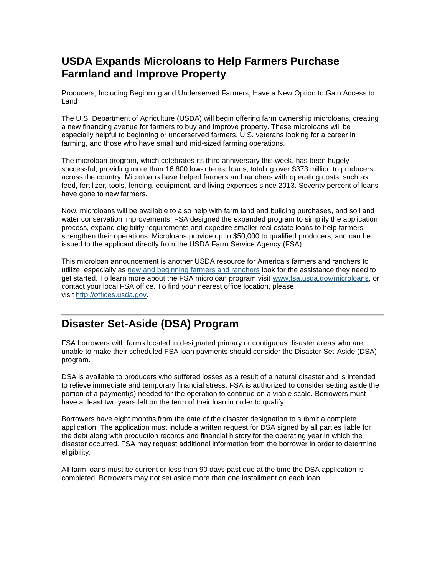# **USDA Expands Microloans to Help Farmers Purchase Farmland and Improve Property**

Producers, Including Beginning and Underserved Farmers, Have a New Option to Gain Access to Land

The U.S. Department of Agriculture (USDA) will begin offering farm ownership microloans, creating a new financing avenue for farmers to buy and improve property. These microloans will be especially helpful to beginning or underserved farmers, U.S. veterans looking for a career in farming, and those who have small and mid-sized farming operations.

The microloan program, which celebrates its third anniversary this week, has been hugely successful, providing more than 16,800 low-interest loans, totaling over \$373 million to producers across the country. Microloans have helped farmers and ranchers with operating costs, such as feed, fertilizer, tools, fencing, equipment, and living expenses since 2013. Seventy percent of loans have gone to new farmers.

Now, microloans will be available to also help with farm land and building purchases, and soil and water conservation improvements. FSA designed the expanded program to simplify the application process, expand eligibility requirements and expedite smaller real estate loans to help farmers strengthen their operations. Microloans provide up to \$50,000 to qualified producers, and can be issued to the applicant directly from the USDA Farm Service Agency (FSA).

This microloan announcement is another USDA resource for America's farmers and ranchers to utilize, especially as [new and beginning farmers and ranchers](http://www.usda.gov/newfarmers) look for the assistance they need to get started. To learn more about the FSA microloan program visit [www.fsa.usda.gov/microloans,](http://www.fsa.usda.gov/microloans) or contact your local FSA office. To find your nearest office location, please visit [http://offices.usda.gov.](http://links.govdelivery.com/track?type=click&enid=ZWFzPTEmbWFpbGluZ2lkPTIwMTUwMjEwLjQxNDAyNjYxJm1lc3NhZ2VpZD1NREItUFJELUJVTC0yMDE1MDIxMC40MTQwMjY2MSZkYXRhYmFzZWlkPTEwMDEmc2VyaWFsPTE3MjQxMDk2JmVtYWlsaWQ9ZGFyaW4ubGVhY2hAaWEudXNkYS5nb3YmdXNlcmlkPWRhcmluLmxlYWNoQGlhLnVzZGEuZ292JmZsPSZleHRyYT1NdWx0aXZhcmlhdGVJZD0mJiY=&&&113&&&http://offices.usda.gov/)

# <span id="page-5-0"></span>**Disaster Set-Aside (DSA) Program**

FSA borrowers with farms located in designated primary or contiguous disaster areas who are unable to make their scheduled FSA loan payments should consider the Disaster Set-Aside (DSA) program.

DSA is available to producers who suffered losses as a result of a natural disaster and is intended to relieve immediate and temporary financial stress. FSA is authorized to consider setting aside the portion of a payment(s) needed for the operation to continue on a viable scale. Borrowers must have at least two years left on the term of their loan in order to qualify.

Borrowers have eight months from the date of the disaster designation to submit a complete application. The application must include a written request for DSA signed by all parties liable for the debt along with production records and financial history for the operating year in which the disaster occurred. FSA may request additional information from the borrower in order to determine eligibility.

All farm loans must be current or less than 90 days past due at the time the DSA application is completed. Borrowers may not set aside more than one installment on each loan.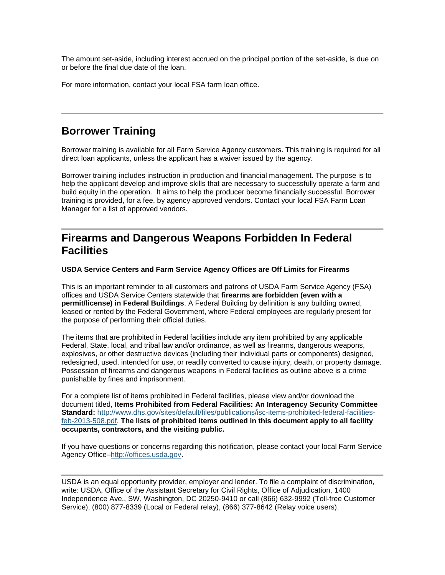The amount set-aside, including interest accrued on the principal portion of the set-aside, is due on or before the final due date of the loan.

For more information, contact your local FSA farm loan office.

### <span id="page-6-0"></span>**Borrower Training**

Borrower training is available for all Farm Service Agency customers. This training is required for all direct loan applicants, unless the applicant has a waiver issued by the agency.

Borrower training includes instruction in production and financial management. The purpose is to help the applicant develop and improve skills that are necessary to successfully operate a farm and build equity in the operation. It aims to help the producer become financially successful. Borrower training is provided, for a fee, by agency approved vendors. Contact your local FSA Farm Loan Manager for a list of approved vendors.

### <span id="page-6-1"></span>**Firearms and Dangerous Weapons Forbidden In Federal Facilities**

#### **USDA Service Centers and Farm Service Agency Offices are Off Limits for Firearms**

This is an important reminder to all customers and patrons of USDA Farm Service Agency (FSA) offices and USDA Service Centers statewide that **firearms are forbidden (even with a permit/license) in Federal Buildings**. A Federal Building by definition is any building owned, leased or rented by the Federal Government, where Federal employees are regularly present for the purpose of performing their official duties.

The items that are prohibited in Federal facilities include any item prohibited by any applicable Federal, State, local, and tribal law and/or ordinance, as well as firearms, dangerous weapons, explosives, or other destructive devices (including their individual parts or components) designed, redesigned, used, intended for use, or readily converted to cause injury, death, or property damage. Possession of firearms and dangerous weapons in Federal facilities as outline above is a crime punishable by fines and imprisonment.

For a complete list of items prohibited in Federal facilities, please view and/or download the document titled, **Items Prohibited from Federal Facilities: An Interagency Security Committee Standard:** [http://www.dhs.gov/sites/default/files/publications/isc-items-prohibited-federal-facilities](http://www.dhs.gov/sites/default/files/publications/isc-items-prohibited-federal-facilities-feb-2013-508.pdf)[feb-2013-508.pdf.](http://www.dhs.gov/sites/default/files/publications/isc-items-prohibited-federal-facilities-feb-2013-508.pdf) **The lists of prohibited items outlined in this document apply to all facility occupants, contractors, and the visiting public.**

If you have questions or concerns regarding this notification, please contact your local Farm Service Agency Office[–http://offices.usda.gov.](http://offices.usda.gov/)

USDA is an equal opportunity provider, employer and lender. To file a complaint of discrimination, write: USDA, Office of the Assistant Secretary for Civil Rights, Office of Adjudication, 1400 Independence Ave., SW, Washington, DC 20250-9410 or call (866) 632-9992 (Toll-free Customer Service), (800) 877-8339 (Local or Federal relay), (866) 377-8642 (Relay voice users).